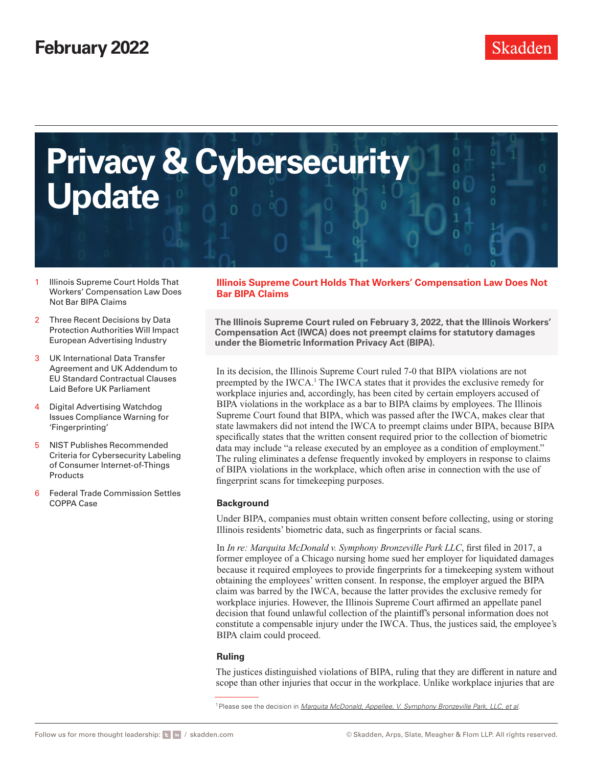

- 1 Illinois Supreme Court Holds That Workers' Compensation Law Does Not Bar BIPA Claims
- 2 [Three Recent Decisions by Data](#page-1-0)  [Protection Authorities Will Impact](#page-1-0)  [European Advertising Industry](#page-1-0)
- 3 [UK International Data Transfer](#page-2-0)  [Agreement and UK Addendum to](#page-2-0)  [EU Standard Contractual Clauses](#page-2-0)  [Laid Before UK Parliament](#page-2-0)
- 4 Digital Advertising Watchdog [Issues Compliance Warning for](#page-3-0)  ['Fingerprinting'](#page-3-0)
- 5 [NIST Publishes Recommended](#page-4-0)  [Criteria for Cybersecurity Labeling](#page-4-0)  [of Consumer Internet-of-Things](#page-4-0)  [Products](#page-4-0)
- 6 [Federal Trade Commission Settles](#page-5-0)  [COPPA Case](#page-5-0)

## **Illinois Supreme Court Holds That Workers' Compensation Law Does Not Bar BIPA Claims**

**The Illinois Supreme Court ruled on February 3, 2022, that the Illinois Workers' Compensation Act (IWCA) does not preempt claims for statutory damages under the Biometric Information Privacy Act (BIPA).**

In its decision, the Illinois Supreme Court ruled 7-0 that BIPA violations are not preempted by the IWCA.<sup>1</sup> The IWCA states that it provides the exclusive remedy for workplace injuries and, accordingly, has been cited by certain employers accused of BIPA violations in the workplace as a bar to BIPA claims by employees. The Illinois Supreme Court found that BIPA, which was passed after the IWCA, makes clear that state lawmakers did not intend the IWCA to preempt claims under BIPA, because BIPA specifically states that the written consent required prior to the collection of biometric data may include "a release executed by an employee as a condition of employment." The ruling eliminates a defense frequently invoked by employers in response to claims of BIPA violations in the workplace, which often arise in connection with the use of fingerprint scans for timekeeping purposes.

## **Background**

Under BIPA, companies must obtain written consent before collecting, using or storing Illinois residents' biometric data, such as fingerprints or facial scans.

In *In re: Marquita McDonald v. Symphony Bronzeville Park LLC*, first filed in 2017, a former employee of a Chicago nursing home sued her employer for liquidated damages because it required employees to provide fingerprints for a timekeeping system without obtaining the employees' written consent. In response, the employer argued the BIPA claim was barred by the IWCA, because the latter provides the exclusive remedy for workplace injuries. However, the Illinois Supreme Court affirmed an appellate panel decision that found unlawful collection of the plaintiff's personal information does not constitute a compensable injury under the IWCA. Thus, the justices said, the employee's BIPA claim could proceed.

## **Ruling**

The justices distinguished violations of BIPA, ruling that they are different in nature and scope than other injuries that occur in the workplace. Unlike workplace injuries that are

<sup>&</sup>lt;sup>1</sup> Please see the decision in *[Marquita McDonald, Appellee, V. Symphony Bronzeville Park, LLC, et al](https://www.skadden.com/-/media/files/publications/2022/02/privacy-cybersecurity-update/fn1-mcdonald-v-symphony-bronzeville-park-llc-2022-il-126511.pdf).*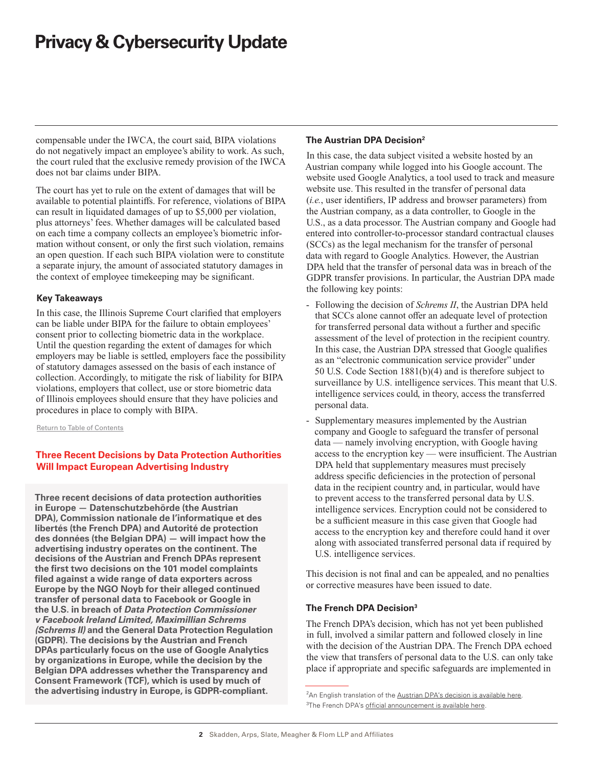<span id="page-1-0"></span>compensable under the IWCA, the court said, BIPA violations do not negatively impact an employee's ability to work. As such, the court ruled that the exclusive remedy provision of the IWCA does not bar claims under BIPA.

The court has yet to rule on the extent of damages that will be available to potential plaintiffs. For reference, violations of BIPA can result in liquidated damages of up to \$5,000 per violation, plus attorneys' fees. Whether damages will be calculated based on each time a company collects an employee's biometric information without consent, or only the first such violation, remains an open question. If each such BIPA violation were to constitute a separate injury, the amount of associated statutory damages in the context of employee timekeeping may be significant.

#### **Key Takeaways**

In this case, the Illinois Supreme Court clarified that employers can be liable under BIPA for the failure to obtain employees' consent prior to collecting biometric data in the workplace. Until the question regarding the extent of damages for which employers may be liable is settled, employers face the possibility of statutory damages assessed on the basis of each instance of collection. Accordingly, to mitigate the risk of liability for BIPA violations, employers that collect, use or store biometric data of Illinois employees should ensure that they have policies and procedures in place to comply with BIPA.

Return to Table of Contents

## **Three Recent Decisions by Data Protection Authorities Will Impact European Advertising Industry**

**Three recent decisions of data protection authorities in Europe — Datenschutzbehörde (the Austrian DPA), Commission nationale de l'informatique et des libertés (the French DPA) and Autorité de protection des données (the Belgian DPA) — will impact how the advertising industry operates on the continent. The decisions of the Austrian and French DPAs represent the first two decisions on the 101 model complaints filed against a wide range of data exporters across Europe by the NGO Noyb for their alleged continued transfer of personal data to Facebook or Google in the U.S. in breach of** *Data Protection Commissioner v Facebook Ireland Limited, Maximillian Schrems (Schrems II)* **and the General Data Protection Regulation (GDPR). The decisions by the Austrian and French DPAs particularly focus on the use of Google Analytics by organizations in Europe, while the decision by the Belgian DPA addresses whether the Transparency and Consent Framework (TCF), which is used by much of the advertising industry in Europe, is GDPR-compliant.**

## **The Austrian DPA Decision2**

In this case, the data subject visited a website hosted by an Austrian company while logged into his Google account. The website used Google Analytics, a tool used to track and measure website use. This resulted in the transfer of personal data (*i.e.*, user identifiers, IP address and browser parameters) from the Austrian company, as a data controller, to Google in the U.S., as a data processor. The Austrian company and Google had entered into controller-to-processor standard contractual clauses (SCCs) as the legal mechanism for the transfer of personal data with regard to Google Analytics. However, the Austrian DPA held that the transfer of personal data was in breach of the GDPR transfer provisions. In particular, the Austrian DPA made the following key points:

- Following the decision of *Schrems II*, the Austrian DPA held that SCCs alone cannot offer an adequate level of protection for transferred personal data without a further and specific assessment of the level of protection in the recipient country. In this case, the Austrian DPA stressed that Google qualifies as an "electronic communication service provider" under 50 U.S. Code Section 1881(b)(4) and is therefore subject to surveillance by U.S. intelligence services. This meant that U.S. intelligence services could, in theory, access the transferred personal data.
- Supplementary measures implemented by the Austrian company and Google to safeguard the transfer of personal data — namely involving encryption, with Google having access to the encryption key — were insufficient. The Austrian DPA held that supplementary measures must precisely address specific deficiencies in the protection of personal data in the recipient country and, in particular, would have to prevent access to the transferred personal data by U.S. intelligence services. Encryption could not be considered to be a sufficient measure in this case given that Google had access to the encryption key and therefore could hand it over along with associated transferred personal data if required by U.S. intelligence services.

This decision is not final and can be appealed, and no penalties or corrective measures have been issued to date.

## **The French DPA Decision3**

The French DPA's decision, which has not yet been published in full, involved a similar pattern and followed closely in line with the decision of the Austrian DPA. The French DPA echoed the view that transfers of personal data to the U.S. can only take place if appropriate and specific safeguards are implemented in

<sup>&</sup>lt;sup>2</sup>An English translation of the [Austrian DPA's decision is available here](https://www.skadden.com/-/media/files/publications/2022/02/privacy-cybersecurity-update/fn2-edsb--google-analytics_en_bk.pdf). <sup>3</sup>The French DPA's [official announcement is available here.](https://www.cnil.fr/en/use-google-analytics-and-data-transfers-united-states-cnil-orders-website-manageroperator-comply)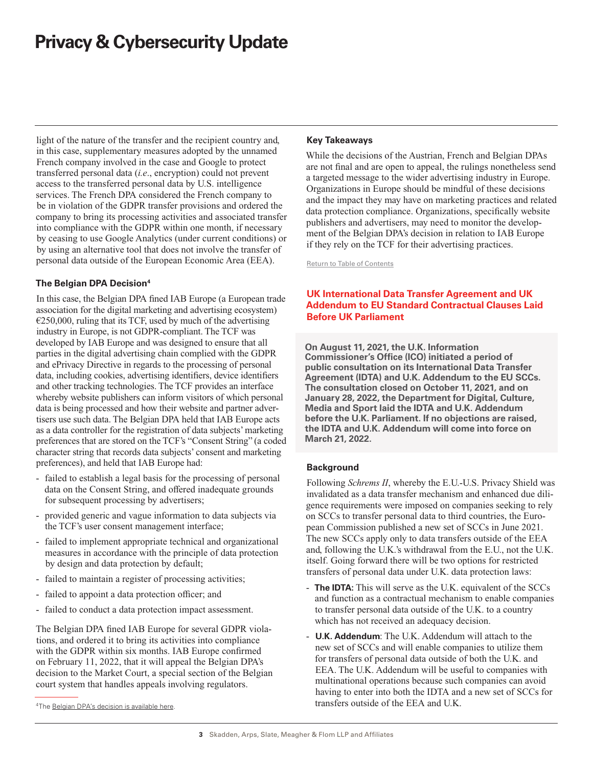<span id="page-2-0"></span>light of the nature of the transfer and the recipient country and, in this case, supplementary measures adopted by the unnamed French company involved in the case and Google to protect transferred personal data (*i.e*., encryption) could not prevent access to the transferred personal data by U.S. intelligence services. The French DPA considered the French company to be in violation of the GDPR transfer provisions and ordered the company to bring its processing activities and associated transfer into compliance with the GDPR within one month, if necessary by ceasing to use Google Analytics (under current conditions) or by using an alternative tool that does not involve the transfer of personal data outside of the European Economic Area (EEA).

## **The Belgian DPA Decision4**

In this case, the Belgian DPA fined IAB Europe (a European trade association for the digital marketing and advertising ecosystem)  $E$  £250,000, ruling that its TCF, used by much of the advertising industry in Europe, is not GDPR-compliant. The TCF was developed by IAB Europe and was designed to ensure that all parties in the digital advertising chain complied with the GDPR and ePrivacy Directive in regards to the processing of personal data, including cookies, advertising identifiers, device identifiers and other tracking technologies. The TCF provides an interface whereby website publishers can inform visitors of which personal data is being processed and how their website and partner advertisers use such data. The Belgian DPA held that IAB Europe acts as a data controller for the registration of data subjects' marketing preferences that are stored on the TCF's "Consent String" (a coded character string that records data subjects' consent and marketing preferences), and held that IAB Europe had:

- failed to establish a legal basis for the processing of personal data on the Consent String, and offered inadequate grounds for subsequent processing by advertisers;
- provided generic and vague information to data subjects via the TCF's user consent management interface;
- failed to implement appropriate technical and organizational measures in accordance with the principle of data protection by design and data protection by default;
- failed to maintain a register of processing activities;
- failed to appoint a data protection officer; and
- failed to conduct a data protection impact assessment.

The Belgian DPA fined IAB Europe for several GDPR violations, and ordered it to bring its activities into compliance with the GDPR within six months. IAB Europe confirmed on February 11, 2022, that it will appeal the Belgian DPA's decision to the Market Court, a special section of the Belgian court system that handles appeals involving regulators.

#### **Key Takeaways**

While the decisions of the Austrian, French and Belgian DPAs are not final and are open to appeal, the rulings nonetheless send a targeted message to the wider advertising industry in Europe. Organizations in Europe should be mindful of these decisions and the impact they may have on marketing practices and related data protection compliance. Organizations, specifically website publishers and advertisers, may need to monitor the development of the Belgian DPA's decision in relation to IAB Europe if they rely on the TCF for their advertising practices.

Return to Table of Contents

## **UK International Data Transfer Agreement and UK Addendum to EU Standard Contractual Clauses Laid Before UK Parliament**

**On August 11, 2021, the U.K. Information Commissioner's Office (ICO) initiated a period of public consultation on its International Data Transfer Agreement (IDTA) and U.K. Addendum to the EU SCCs. The consultation closed on October 11, 2021, and on January 28, 2022, the Department for Digital, Culture, Media and Sport laid the IDTA and U.K. Addendum before the U.K. Parliament. If no objections are raised, the IDTA and U.K. Addendum will come into force on March 21, 2022.**

## **Background**

Following *Schrems II*, whereby the E.U.-U.S. Privacy Shield was invalidated as a data transfer mechanism and enhanced due diligence requirements were imposed on companies seeking to rely on SCCs to transfer personal data to third countries, the European Commission published a new set of SCCs in June 2021. The new SCCs apply only to data transfers outside of the EEA and, following the U.K.'s withdrawal from the E.U., not the U.K. itself. Going forward there will be two options for restricted transfers of personal data under U.K. data protection laws:

- **The IDTA:** This will serve as the U.K. equivalent of the SCCs and function as a contractual mechanism to enable companies to transfer personal data outside of the U.K. to a country which has not received an adequacy decision.
- **U.K. Addendum**: The U.K. Addendum will attach to the new set of SCCs and will enable companies to utilize them for transfers of personal data outside of both the U.K. and EEA. The U.K. Addendum will be useful to companies with multinational operations because such companies can avoid having to enter into both the IDTA and a new set of SCCs for transfers outside of the EEA and U.K.

<sup>4</sup>The [Belgian DPA's decision is available here](https://www.dataprotectionauthority.be/citizen/iab-europe-held-responsible-for-a-mechanism-that-infringes-the-gdpr).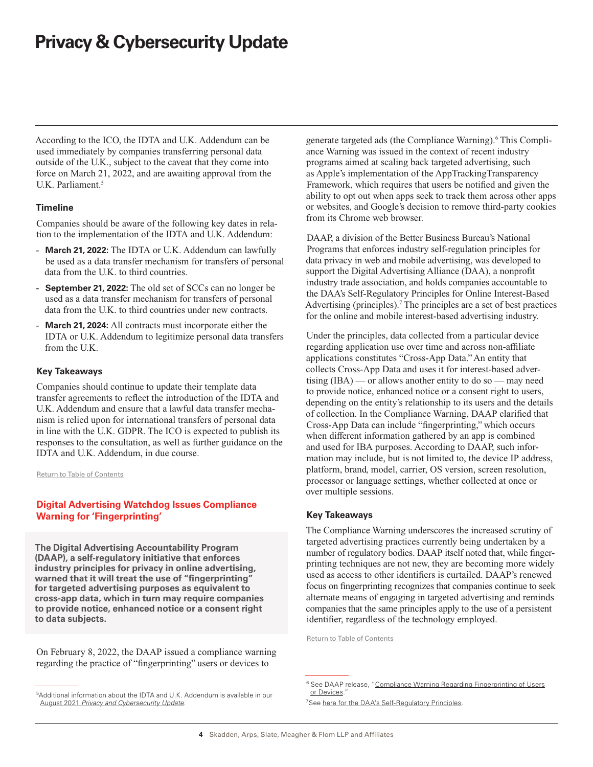<span id="page-3-0"></span>According to the ICO, the IDTA and U.K. Addendum can be used immediately by companies transferring personal data outside of the U.K., subject to the caveat that they come into force on March 21, 2022, and are awaiting approval from the U.K. Parliament.<sup>5</sup>

#### **Timeline**

Companies should be aware of the following key dates in relation to the implementation of the IDTA and U.K. Addendum:

- **March 21, 2022:** The IDTA or U.K. Addendum can lawfully be used as a data transfer mechanism for transfers of personal data from the U.K. to third countries.
- **September 21, 2022:** The old set of SCCs can no longer be used as a data transfer mechanism for transfers of personal data from the U.K. to third countries under new contracts.
- **March 21, 2024:** All contracts must incorporate either the IDTA or U.K. Addendum to legitimize personal data transfers from the U.K.

#### **Key Takeaways**

Companies should continue to update their template data transfer agreements to reflect the introduction of the IDTA and U.K. Addendum and ensure that a lawful data transfer mechanism is relied upon for international transfers of personal data in line with the U.K. GDPR. The ICO is expected to publish its responses to the consultation, as well as further guidance on the IDTA and U.K. Addendum, in due course.

Return to Table of Contents

## **Digital Advertising Watchdog Issues Compliance Warning for 'Fingerprinting'**

**The Digital Advertising Accountability Program (DAAP), a self-regulatory initiative that enforces industry principles for privacy in online advertising, warned that it will treat the use of "fingerprinting" for targeted advertising purposes as equivalent to cross-app data, which in turn may require companies to provide notice, enhanced notice or a consent right to data subjects.** 

On February 8, 2022, the DAAP issued a compliance warning regarding the practice of "fingerprinting" users or devices to

generate targeted ads (the Compliance Warning).<sup>6</sup> This Compliance Warning was issued in the context of recent industry programs aimed at scaling back targeted advertising, such as Apple's implementation of the AppTrackingTransparency Framework, which requires that users be notified and given the ability to opt out when apps seek to track them across other apps or websites, and Google's decision to remove third-party cookies from its Chrome web browser.

DAAP, a division of the Better Business Bureau's National Programs that enforces industry self-regulation principles for data privacy in web and mobile advertising, was developed to support the Digital Advertising Alliance (DAA), a nonprofit industry trade association, and holds companies accountable to the DAA's Self-Regulatory Principles for Online Interest-Based Advertising (principles).7 The principles are a set of best practices for the online and mobile interest-based advertising industry.

Under the principles, data collected from a particular device regarding application use over time and across non-affiliate applications constitutes "Cross-App Data." An entity that collects Cross-App Data and uses it for interest-based advertising  $(IBA)$  — or allows another entity to do so — may need to provide notice, enhanced notice or a consent right to users, depending on the entity's relationship to its users and the details of collection. In the Compliance Warning, DAAP clarified that Cross-App Data can include "fingerprinting," which occurs when different information gathered by an app is combined and used for IBA purposes. According to DAAP, such information may include, but is not limited to, the device IP address, platform, brand, model, carrier, OS version, screen resolution, processor or language settings, whether collected at once or over multiple sessions.

#### **Key Takeaways**

The Compliance Warning underscores the increased scrutiny of targeted advertising practices currently being undertaken by a number of regulatory bodies. DAAP itself noted that, while fingerprinting techniques are not new, they are becoming more widely used as access to other identifiers is curtailed. DAAP's renewed focus on fingerprinting recognizes that companies continue to seek alternate means of engaging in targeted advertising and reminds companies that the same principles apply to the use of a persistent identifier, regardless of the technology employed.

Return to Table of Contents

<sup>5</sup> Additional information about the IDTA and U.K. Addendum is available in our August 2021 *[Privacy and Cybersecurity Update](https://www.skadden.com/insights/publications/2021/08/privacy-cybersecurity-update#uk)*.

<sup>&</sup>lt;sup>6</sup> See DAAP release, "[Compliance Warning Regarding Fingerprinting of Users](https://bbbprograms.org/programs/all-programs/daap/DecisionsAndGuidance#guidance) [or Devices](https://bbbprograms.org/programs/all-programs/daap/DecisionsAndGuidance#guidance).

<sup>&</sup>lt;sup>7</sup>See here for the DAA's Self-Regulatory Principles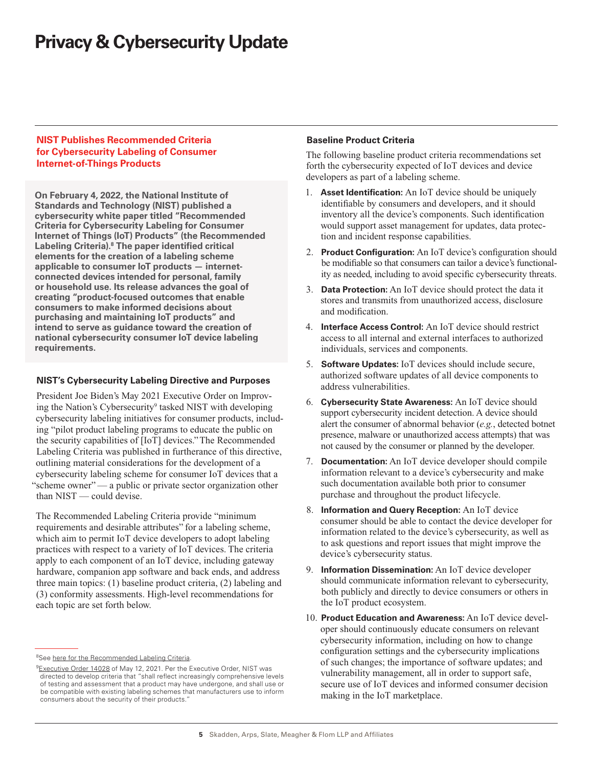## <span id="page-4-0"></span>**NIST Publishes Recommended Criteria for Cybersecurity Labeling of Consumer Internet-of-Things Products**

**On February 4, 2022, the National Institute of Standards and Technology (NIST) published a cybersecurity white paper titled "Recommended Criteria for Cybersecurity Labeling for Consumer Internet of Things (IoT) Products" (the Recommended Labeling Criteria).8 The paper identified critical elements for the creation of a labeling scheme applicable to consumer IoT products — internetconnected devices intended for personal, family or household use. Its release advances the goal of creating "product-focused outcomes that enable consumers to make informed decisions about purchasing and maintaining IoT products" and intend to serve as guidance toward the creation of national cybersecurity consumer IoT device labeling requirements.**

## **NIST's Cybersecurity Labeling Directive and Purposes**

President Joe Biden's May 2021 Executive Order on Improving the Nation's Cybersecurity<sup>9</sup> tasked NIST with developing cybersecurity labeling initiatives for consumer products, including "pilot product labeling programs to educate the public on the security capabilities of [IoT] devices." The Recommended Labeling Criteria was published in furtherance of this directive, outlining material considerations for the development of a cybersecurity labeling scheme for consumer IoT devices that a "scheme owner" — a public or private sector organization other than NIST — could devise.

The Recommended Labeling Criteria provide "minimum requirements and desirable attributes" for a labeling scheme, which aim to permit IoT device developers to adopt labeling practices with respect to a variety of IoT devices. The criteria apply to each component of an IoT device, including gateway hardware, companion app software and back ends, and address three main topics: (1) baseline product criteria, (2) labeling and (3) conformity assessments. High-level recommendations for each topic are set forth below.

## **Baseline Product Criteria**

The following baseline product criteria recommendations set forth the cybersecurity expected of IoT devices and device developers as part of a labeling scheme.

- 1. **Asset Identification:** An IoT device should be uniquely identifiable by consumers and developers, and it should inventory all the device's components. Such identification would support asset management for updates, data protection and incident response capabilities.
- 2. **Product Configuration:** An IoT device's configuration should be modifiable so that consumers can tailor a device's functionality as needed, including to avoid specific cybersecurity threats.
- 3. **Data Protection:** An IoT device should protect the data it stores and transmits from unauthorized access, disclosure and modification.
- 4. **Interface Access Control:** An IoT device should restrict access to all internal and external interfaces to authorized individuals, services and components.
- 5. **Software Updates:** IoT devices should include secure, authorized software updates of all device components to address vulnerabilities.
- 6. **Cybersecurity State Awareness:** An IoT device should support cybersecurity incident detection. A device should alert the consumer of abnormal behavior (*e.g.*, detected botnet presence, malware or unauthorized access attempts) that was not caused by the consumer or planned by the developer.
- 7. **Documentation:** An IoT device developer should compile information relevant to a device's cybersecurity and make such documentation available both prior to consumer purchase and throughout the product lifecycle.
- 8. **Information and Query Reception:** An IoT device consumer should be able to contact the device developer for information related to the device's cybersecurity, as well as to ask questions and report issues that might improve the device's cybersecurity status.
- 9. **Information Dissemination:** An IoT device developer should communicate information relevant to cybersecurity, both publicly and directly to device consumers or others in the IoT product ecosystem.
- 10. **Product Education and Awareness:** An IoT device developer should continuously educate consumers on relevant cybersecurity information, including on how to change configuration settings and the cybersecurity implications of such changes; the importance of software updates; and vulnerability management, all in order to support safe, secure use of IoT devices and informed consumer decision making in the IoT marketplace.

<sup>&</sup>lt;sup>8</sup>See [here for the Recommended Labeling Criteria.](https://www.skadden.com/-/media/files/publications/2022/02/privacy-cybersecurity-update/fn8-nistcswp020420222-1.pdf)

<sup>&</sup>lt;sup>9</sup> [Executive Order 14028](https://www.federalregister.gov/documents/2021/05/17/2021-10460/improving-the-nations-cybersecurity) of May 12, 2021. Per the Executive Order, NIST was directed to develop criteria that "shall reflect increasingly comprehensive levels of testing and assessment that a product may have undergone, and shall use or be compatible with existing labeling schemes that manufacturers use to inform consumers about the security of their products."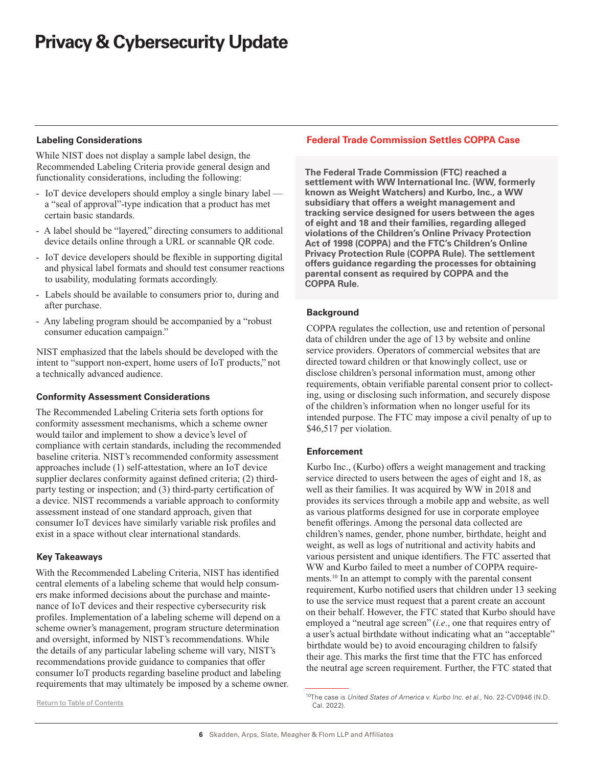## <span id="page-5-0"></span>**Labeling Considerations**

While NIST does not display a sample label design, the Recommended Labeling Criteria provide general design and functionality considerations, including the following:

- IoT device developers should employ a single binary label a "seal of approval"-type indication that a product has met certain basic standards.
- A label should be "layered," directing consumers to additional device details online through a URL or scannable QR code.
- IoT device developers should be flexible in supporting digital and physical label formats and should test consumer reactions to usability, modulating formats accordingly.
- Labels should be available to consumers prior to, during and after purchase.
- Any labeling program should be accompanied by a "robust consumer education campaign."

NIST emphasized that the labels should be developed with the intent to "support non-expert, home users of IoT products," not a technically advanced audience.

## **Conformity Assessment Considerations**

The Recommended Labeling Criteria sets forth options for conformity assessment mechanisms, which a scheme owner would tailor and implement to show a device's level of compliance with certain standards, including the recommended baseline criteria. NIST's recommended conformity assessment approaches include (1) self-attestation, where an IoT device supplier declares conformity against defined criteria; (2) thirdparty testing or inspection; and (3) third-party certification of a device. NIST recommends a variable approach to conformity assessment instead of one standard approach, given that consumer IoT devices have similarly variable risk profiles and exist in a space without clear international standards.

## **Key Takeaways**

With the Recommended Labeling Criteria, NIST has identified central elements of a labeling scheme that would help consumers make informed decisions about the purchase and maintenance of IoT devices and their respective cybersecurity risk profiles. Implementation of a labeling scheme will depend on a scheme owner's management, program structure determination and oversight, informed by NIST's recommendations. While the details of any particular labeling scheme will vary, NIST's recommendations provide guidance to companies that offer consumer IoT products regarding baseline product and labeling requirements that may ultimately be imposed by a scheme owner.

## **Federal Trade Commission Settles COPPA Case**

**The Federal Trade Commission (FTC) reached a settlement with WW International Inc. (WW, formerly known as Weight Watchers) and Kurbo, Inc., a WW subsidiary that offers a weight management and tracking service designed for users between the ages of eight and 18 and their families, regarding alleged violations of the Children's Online Privacy Protection Act of 1998 (COPPA) and the FTC's Children's Online Privacy Protection Rule (COPPA Rule). The settlement offers guidance regarding the processes for obtaining parental consent as required by COPPA and the COPPA Rule.**

## **Background**

COPPA regulates the collection, use and retention of personal data of children under the age of 13 by website and online service providers. Operators of commercial websites that are directed toward children or that knowingly collect, use or disclose children's personal information must, among other requirements, obtain verifiable parental consent prior to collecting, using or disclosing such information, and securely dispose of the children's information when no longer useful for its intended purpose. The FTC may impose a civil penalty of up to \$46,517 per violation.

#### **Enforcement**

Kurbo Inc., (Kurbo) offers a weight management and tracking service directed to users between the ages of eight and 18, as well as their families. It was acquired by WW in 2018 and provides its services through a mobile app and website, as well as various platforms designed for use in corporate employee benefit offerings. Among the personal data collected are children's names, gender, phone number, birthdate, height and weight, as well as logs of nutritional and activity habits and various persistent and unique identifiers. The FTC asserted that WW and Kurbo failed to meet a number of COPPA requirements.10 In an attempt to comply with the parental consent requirement, Kurbo notified users that children under 13 seeking to use the service must request that a parent create an account on their behalf. However, the FTC stated that Kurbo should have employed a "neutral age screen" (*i.e*., one that requires entry of a user's actual birthdate without indicating what an "acceptable" birthdate would be) to avoid encouraging children to falsify their age. This marks the first time that the FTC has enforced the neutral age screen requirement. Further, the FTC stated that

<sup>10</sup>The case is *United States of America v. Kurbo Inc. et al.*, No. 22-CV0946 (N.D. Cal. 2022).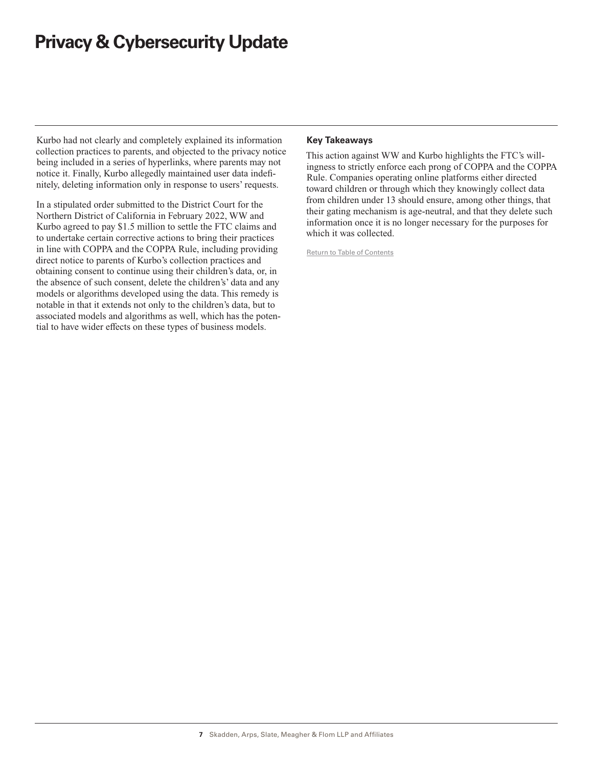Kurbo had not clearly and completely explained its information collection practices to parents, and objected to the privacy notice being included in a series of hyperlinks, where parents may not notice it. Finally, Kurbo allegedly maintained user data indefinitely, deleting information only in response to users' requests.

In a stipulated order submitted to the District Court for the Northern District of California in February 2022, WW and Kurbo agreed to pay \$1.5 million to settle the FTC claims and to undertake certain corrective actions to bring their practices in line with COPPA and the COPPA Rule, including providing direct notice to parents of Kurbo's collection practices and obtaining consent to continue using their children's data, or, in the absence of such consent, delete the children's' data and any models or algorithms developed using the data. This remedy is notable in that it extends not only to the children's data, but to associated models and algorithms as well, which has the potential to have wider effects on these types of business models.

## **Key Takeaways**

This action against WW and Kurbo highlights the FTC's willingness to strictly enforce each prong of COPPA and the COPPA Rule. Companies operating online platforms either directed toward children or through which they knowingly collect data from children under 13 should ensure, among other things, that their gating mechanism is age-neutral, and that they delete such information once it is no longer necessary for the purposes for which it was collected.

Return to Table of Contents